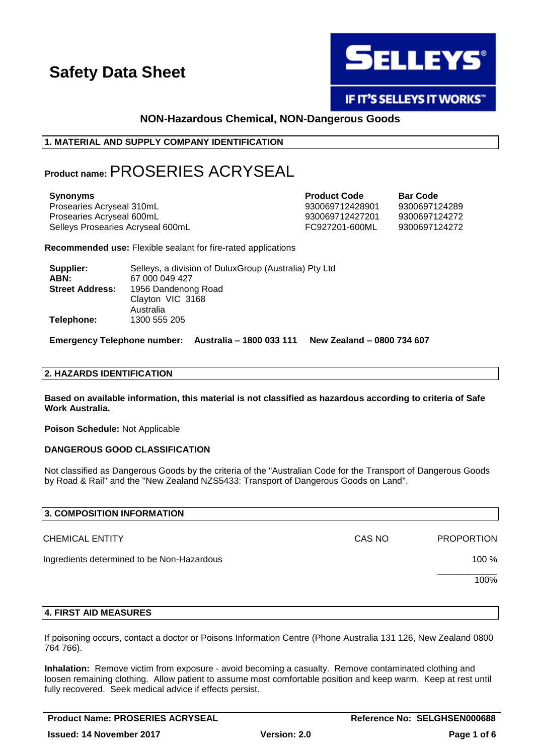

IF IT'S SELLEYS IT WORKS"

### **NON-Hazardous Chemical, NON-Dangerous Goods**

### **1. MATERIAL AND SUPPLY COMPANY IDENTIFICATION**

## **Product name:** PROSERIES ACRYSEAL

| <b>Synonyms</b>                   | <b>Product Code</b> | <b>Bar Code</b> |
|-----------------------------------|---------------------|-----------------|
| Prosearies Acryseal 310mL         | 930069712428901     | 9300697124289   |
| Prosearies Acryseal 600mL         | 930069712427201     | 9300697124272   |
| Selleys Prosearies Acryseal 600mL | FC927201-600ML      | 9300697124272   |

**Recommended use:** Flexible sealant for fire-rated applications

| Supplier:              | Selleys, a division of DuluxGroup (Australia) Pty Ltd |
|------------------------|-------------------------------------------------------|
| ABN:                   | 67 000 049 427                                        |
| <b>Street Address:</b> | 1956 Dandenong Road                                   |
|                        | Clayton VIC 3168                                      |
|                        | Australia                                             |
| Telephone:             | 1300 555 205                                          |

**Emergency Telephone number: Australia – 1800 033 111 New Zealand – 0800 734 607**

### **2. HAZARDS IDENTIFICATION**

**Based on available information, this material is not classified as hazardous according to criteria of Safe Work Australia.**

**Poison Schedule:** Not Applicable

### **DANGEROUS GOOD CLASSIFICATION**

Not classified as Dangerous Goods by the criteria of the "Australian Code for the Transport of Dangerous Goods by Road & Rail" and the "New Zealand NZS5433: Transport of Dangerous Goods on Land".

| 3. COMPOSITION INFORMATION                 |        |                   |
|--------------------------------------------|--------|-------------------|
| <b>CHEMICAL ENTITY</b>                     | CAS NO | <b>PROPORTION</b> |
| Ingredients determined to be Non-Hazardous |        | 100 %             |
|                                            |        | 100%              |
|                                            |        |                   |

### **4. FIRST AID MEASURES**

If poisoning occurs, contact a doctor or Poisons Information Centre (Phone Australia 131 126, New Zealand 0800 764 766).

**Inhalation:** Remove victim from exposure - avoid becoming a casualty. Remove contaminated clothing and loosen remaining clothing. Allow patient to assume most comfortable position and keep warm. Keep at rest until fully recovered. Seek medical advice if effects persist.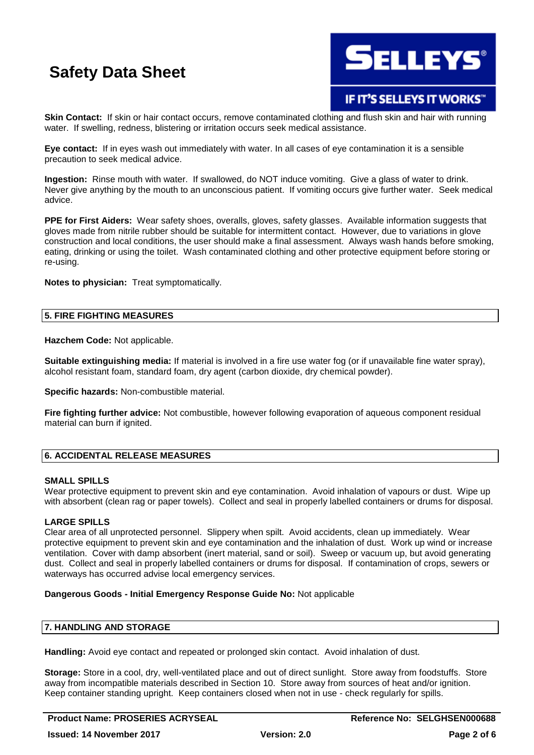

### **IF IT'S SELLEYS IT WORKS"**

**Skin Contact:** If skin or hair contact occurs, remove contaminated clothing and flush skin and hair with running water. If swelling, redness, blistering or irritation occurs seek medical assistance.

**Eye contact:** If in eyes wash out immediately with water. In all cases of eye contamination it is a sensible precaution to seek medical advice.

**Ingestion:** Rinse mouth with water. If swallowed, do NOT induce vomiting. Give a glass of water to drink. Never give anything by the mouth to an unconscious patient. If vomiting occurs give further water. Seek medical advice.

**PPE for First Aiders:** Wear safety shoes, overalls, gloves, safety glasses. Available information suggests that gloves made from nitrile rubber should be suitable for intermittent contact. However, due to variations in glove construction and local conditions, the user should make a final assessment. Always wash hands before smoking, eating, drinking or using the toilet. Wash contaminated clothing and other protective equipment before storing or re-using.

**Notes to physician:** Treat symptomatically.

### **5. FIRE FIGHTING MEASURES**

**Hazchem Code:** Not applicable.

**Suitable extinguishing media:** If material is involved in a fire use water fog (or if unavailable fine water spray), alcohol resistant foam, standard foam, dry agent (carbon dioxide, dry chemical powder).

**Specific hazards:** Non-combustible material.

**Fire fighting further advice:** Not combustible, however following evaporation of aqueous component residual material can burn if ignited.

### **6. ACCIDENTAL RELEASE MEASURES**

### **SMALL SPILLS**

Wear protective equipment to prevent skin and eve contamination. Avoid inhalation of vapours or dust. Wipe up with absorbent (clean rag or paper towels). Collect and seal in properly labelled containers or drums for disposal.

### **LARGE SPILLS**

Clear area of all unprotected personnel. Slippery when spilt. Avoid accidents, clean up immediately. Wear protective equipment to prevent skin and eye contamination and the inhalation of dust. Work up wind or increase ventilation. Cover with damp absorbent (inert material, sand or soil). Sweep or vacuum up, but avoid generating dust. Collect and seal in properly labelled containers or drums for disposal. If contamination of crops, sewers or waterways has occurred advise local emergency services.

### **Dangerous Goods - Initial Emergency Response Guide No:** Not applicable

### **7. HANDLING AND STORAGE**

**Handling:** Avoid eye contact and repeated or prolonged skin contact. Avoid inhalation of dust.

**Storage:** Store in a cool, dry, well-ventilated place and out of direct sunlight. Store away from foodstuffs. Store away from incompatible materials described in Section 10. Store away from sources of heat and/or ignition. Keep container standing upright. Keep containers closed when not in use - check regularly for spills.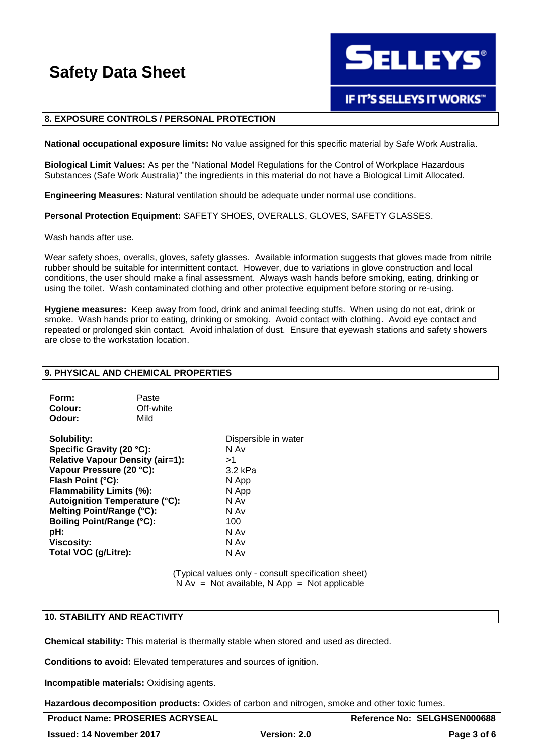**ELLEYS** 

## **IF IT'S SELLEYS IT WORKS**

### **8. EXPOSURE CONTROLS / PERSONAL PROTECTION**

**National occupational exposure limits:** No value assigned for this specific material by Safe Work Australia.

**Biological Limit Values:** As per the "National Model Regulations for the Control of Workplace Hazardous Substances (Safe Work Australia)" the ingredients in this material do not have a Biological Limit Allocated.

**Engineering Measures:** Natural ventilation should be adequate under normal use conditions.

**Personal Protection Equipment:** SAFETY SHOES, OVERALLS, GLOVES, SAFETY GLASSES.

Wash hands after use.

Wear safety shoes, overalls, gloves, safety glasses. Available information suggests that gloves made from nitrile rubber should be suitable for intermittent contact. However, due to variations in glove construction and local conditions, the user should make a final assessment. Always wash hands before smoking, eating, drinking or using the toilet. Wash contaminated clothing and other protective equipment before storing or re-using.

**Hygiene measures:** Keep away from food, drink and animal feeding stuffs. When using do not eat, drink or smoke. Wash hands prior to eating, drinking or smoking. Avoid contact with clothing. Avoid eye contact and repeated or prolonged skin contact. Avoid inhalation of dust. Ensure that eyewash stations and safety showers are close to the workstation location.

### **9. PHYSICAL AND CHEMICAL PROPERTIES**

| Form:   | Paste     |
|---------|-----------|
| Colour: | Off-white |
| Odour:  | Mild      |

**Solubility:** Dispersible in water **Specific Gravity (20 °C):** N Av **Relative Vapour Density (air=1):** >1 **Vapour Pressure (20 °C):** 3.2 kPa **Flash Point (°C):** N App **Flammability Limits (%):** N App **Autoignition Temperature (°C):** N Av **Melting Point/Range (°C):** N Av **Boiling Point/Range (°C):** 100 **pH:** N Av **Viscosity:** N Av **Total VOC (g/Litre):** N Av

(Typical values only - consult specification sheet)  $N Av = Not available, N App = Not applicable$ 

### **10. STABILITY AND REACTIVITY**

**Chemical stability:** This material is thermally stable when stored and used as directed.

**Conditions to avoid:** Elevated temperatures and sources of ignition.

**Incompatible materials:** Oxidising agents.

**Hazardous decomposition products:** Oxides of carbon and nitrogen, smoke and other toxic fumes.

| <b>Product Name: PROSERIES ACRYSEAL</b> |
|-----------------------------------------|
|-----------------------------------------|

**Reference No: SELGHSEN000688**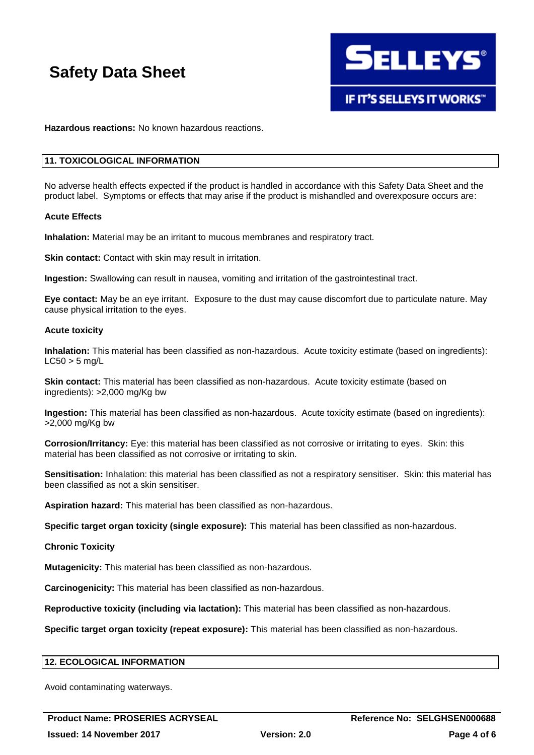

**Hazardous reactions:** No known hazardous reactions.

### **11. TOXICOLOGICAL INFORMATION**

No adverse health effects expected if the product is handled in accordance with this Safety Data Sheet and the product label. Symptoms or effects that may arise if the product is mishandled and overexposure occurs are:

#### **Acute Effects**

**Inhalation:** Material may be an irritant to mucous membranes and respiratory tract.

**Skin contact:** Contact with skin may result in irritation.

**Ingestion:** Swallowing can result in nausea, vomiting and irritation of the gastrointestinal tract.

**Eye contact:** May be an eye irritant. Exposure to the dust may cause discomfort due to particulate nature. May cause physical irritation to the eyes.

#### **Acute toxicity**

**Inhalation:** This material has been classified as non-hazardous. Acute toxicity estimate (based on ingredients):  $LC50 > 5$  mg/L

**Skin contact:** This material has been classified as non-hazardous. Acute toxicity estimate (based on ingredients): >2,000 mg/Kg bw

**Ingestion:** This material has been classified as non-hazardous. Acute toxicity estimate (based on ingredients): >2,000 mg/Kg bw

**Corrosion/Irritancy:** Eye: this material has been classified as not corrosive or irritating to eyes. Skin: this material has been classified as not corrosive or irritating to skin.

**Sensitisation:** Inhalation: this material has been classified as not a respiratory sensitiser. Skin: this material has been classified as not a skin sensitiser.

**Aspiration hazard:** This material has been classified as non-hazardous.

**Specific target organ toxicity (single exposure):** This material has been classified as non-hazardous.

### **Chronic Toxicity**

**Mutagenicity:** This material has been classified as non-hazardous.

**Carcinogenicity:** This material has been classified as non-hazardous.

**Reproductive toxicity (including via lactation):** This material has been classified as non-hazardous.

**Specific target organ toxicity (repeat exposure):** This material has been classified as non-hazardous.

### **12. ECOLOGICAL INFORMATION**

Avoid contaminating waterways.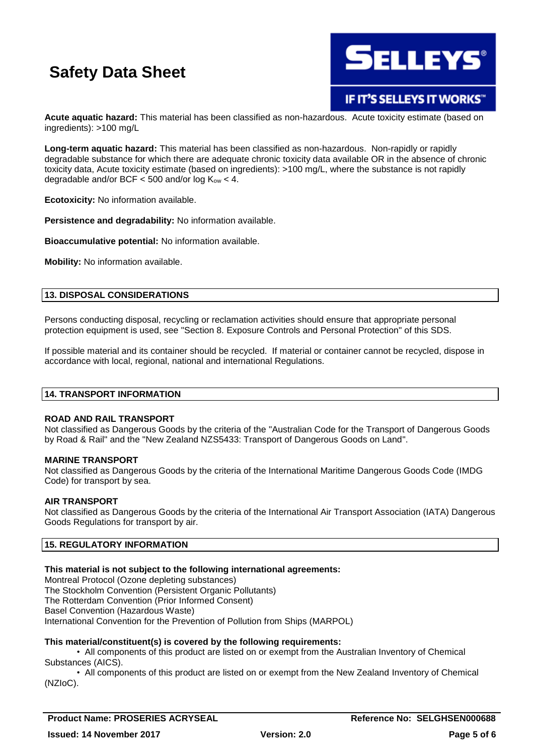

IF IT'S SELLEYS IT WORKS"

**Acute aquatic hazard:** This material has been classified as non-hazardous. Acute toxicity estimate (based on ingredients): >100 mg/L

**Long-term aquatic hazard:** This material has been classified as non-hazardous. Non-rapidly or rapidly degradable substance for which there are adequate chronic toxicity data available OR in the absence of chronic toxicity data, Acute toxicity estimate (based on ingredients): >100 mg/L, where the substance is not rapidly degradable and/or BCF  $<$  500 and/or log  $K_{ow}$   $<$  4.

**Ecotoxicity:** No information available.

**Persistence and degradability:** No information available.

**Bioaccumulative potential:** No information available.

**Mobility:** No information available.

### **13. DISPOSAL CONSIDERATIONS**

Persons conducting disposal, recycling or reclamation activities should ensure that appropriate personal protection equipment is used, see "Section 8. Exposure Controls and Personal Protection" of this SDS.

If possible material and its container should be recycled. If material or container cannot be recycled, dispose in accordance with local, regional, national and international Regulations.

### **14. TRANSPORT INFORMATION**

### **ROAD AND RAIL TRANSPORT**

Not classified as Dangerous Goods by the criteria of the "Australian Code for the Transport of Dangerous Goods by Road & Rail" and the "New Zealand NZS5433: Transport of Dangerous Goods on Land".

### **MARINE TRANSPORT**

Not classified as Dangerous Goods by the criteria of the International Maritime Dangerous Goods Code (IMDG Code) for transport by sea.

### **AIR TRANSPORT**

Not classified as Dangerous Goods by the criteria of the International Air Transport Association (IATA) Dangerous Goods Regulations for transport by air.

### **15. REGULATORY INFORMATION**

### **This material is not subject to the following international agreements:**

Montreal Protocol (Ozone depleting substances) The Stockholm Convention (Persistent Organic Pollutants) The Rotterdam Convention (Prior Informed Consent) Basel Convention (Hazardous Waste) International Convention for the Prevention of Pollution from Ships (MARPOL)

### **This material/constituent(s) is covered by the following requirements:**

• All components of this product are listed on or exempt from the Australian Inventory of Chemical Substances (AICS).

• All components of this product are listed on or exempt from the New Zealand Inventory of Chemical (NZIoC).